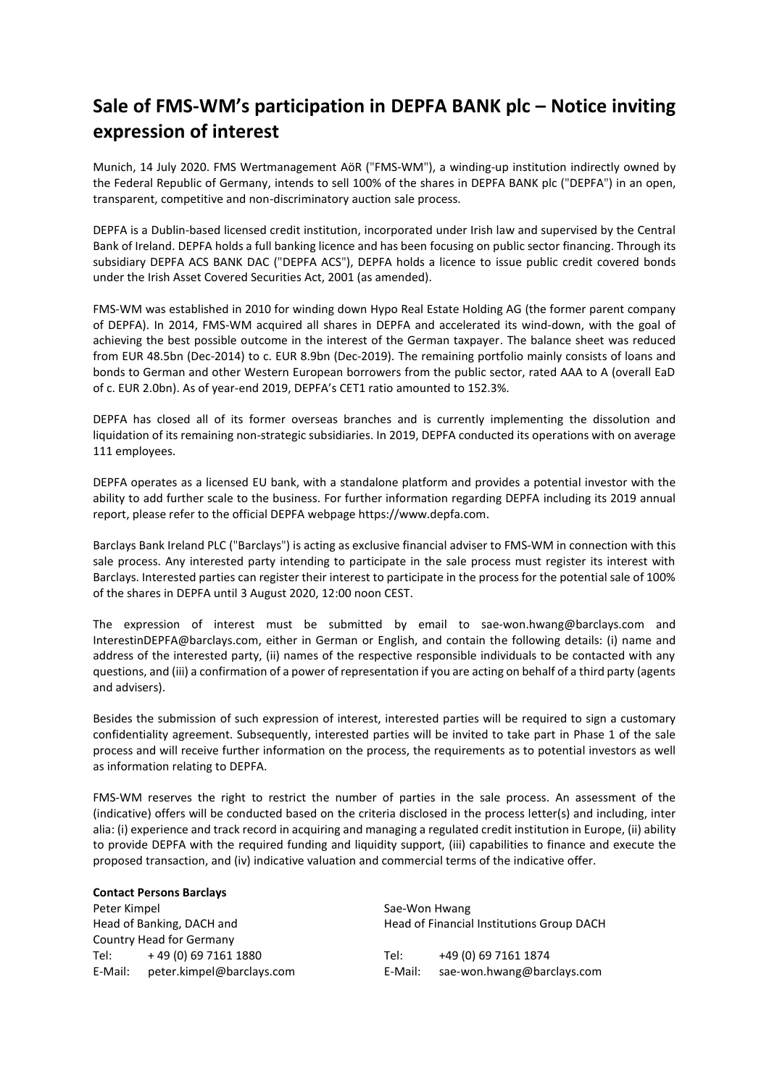## **Sale of FMS-WM's participation in DEPFA BANK plc – Notice inviting expression of interest**

Munich, 14 July 2020. FMS Wertmanagement AöR ("FMS-WM"), a winding-up institution indirectly owned by the Federal Republic of Germany, intends to sell 100% of the shares in DEPFA BANK plc ("DEPFA") in an open, transparent, competitive and non-discriminatory auction sale process.

DEPFA is a Dublin-based licensed credit institution, incorporated under Irish law and supervised by the Central Bank of Ireland. DEPFA holds a full banking licence and has been focusing on public sector financing. Through its subsidiary DEPFA ACS BANK DAC ("DEPFA ACS"), DEPFA holds a licence to issue public credit covered bonds under the Irish Asset Covered Securities Act, 2001 (as amended).

FMS-WM was established in 2010 for winding down Hypo Real Estate Holding AG (the former parent company of DEPFA). In 2014, FMS-WM acquired all shares in DEPFA and accelerated its wind-down, with the goal of achieving the best possible outcome in the interest of the German taxpayer. The balance sheet was reduced from EUR 48.5bn (Dec-2014) to c. EUR 8.9bn (Dec-2019). The remaining portfolio mainly consists of loans and bonds to German and other Western European borrowers from the public sector, rated AAA to A (overall EaD of c. EUR 2.0bn). As of year-end 2019, DEPFA's CET1 ratio amounted to 152.3%.

DEPFA has closed all of its former overseas branches and is currently implementing the dissolution and liquidation of its remaining non-strategic subsidiaries. In 2019, DEPFA conducted its operations with on average 111 employees.

DEPFA operates as a licensed EU bank, with a standalone platform and provides a potential investor with the ability to add further scale to the business. For further information regarding DEPFA including its 2019 annual report, please refer to the official DEPFA webpage https://www.depfa.com.

Barclays Bank Ireland PLC ("Barclays") is acting as exclusive financial adviser to FMS-WM in connection with this sale process. Any interested party intending to participate in the sale process must register its interest with Barclays. Interested parties can register their interest to participate in the process for the potential sale of 100% of the shares in DEPFA until 3 August 2020, 12:00 noon CEST.

The expression of interest must be submitted by email to sae-won.hwang@barclays.com and InterestinDEPFA@barclays.com, either in German or English, and contain the following details: (i) name and address of the interested party, (ii) names of the respective responsible individuals to be contacted with any questions, and (iii) a confirmation of a power of representation if you are acting on behalf of a third party (agents and advisers).

Besides the submission of such expression of interest, interested parties will be required to sign a customary confidentiality agreement. Subsequently, interested parties will be invited to take part in Phase 1 of the sale process and will receive further information on the process, the requirements as to potential investors as well as information relating to DEPFA.

FMS-WM reserves the right to restrict the number of parties in the sale process. An assessment of the (indicative) offers will be conducted based on the criteria disclosed in the process letter(s) and including, inter alia: (i) experience and track record in acquiring and managing a regulated credit institution in Europe, (ii) ability to provide DEPFA with the required funding and liquidity support, (iii) capabilities to finance and execute the proposed transaction, and (iv) indicative valuation and commercial terms of the indicative offer.

## **Contact Persons Barclays**

Peter Kimpel **Sae-Won Hwang** Head of Banking, DACH and Country Head for Germany Tel: + 49 (0) 69 7161 1880 Tel: +49 (0) 69 7161 1874

Head of Financial Institutions Group DACH

E-Mail: peter.kimpel@barclays.com E-Mail: sae-won.hwang@barclays.com